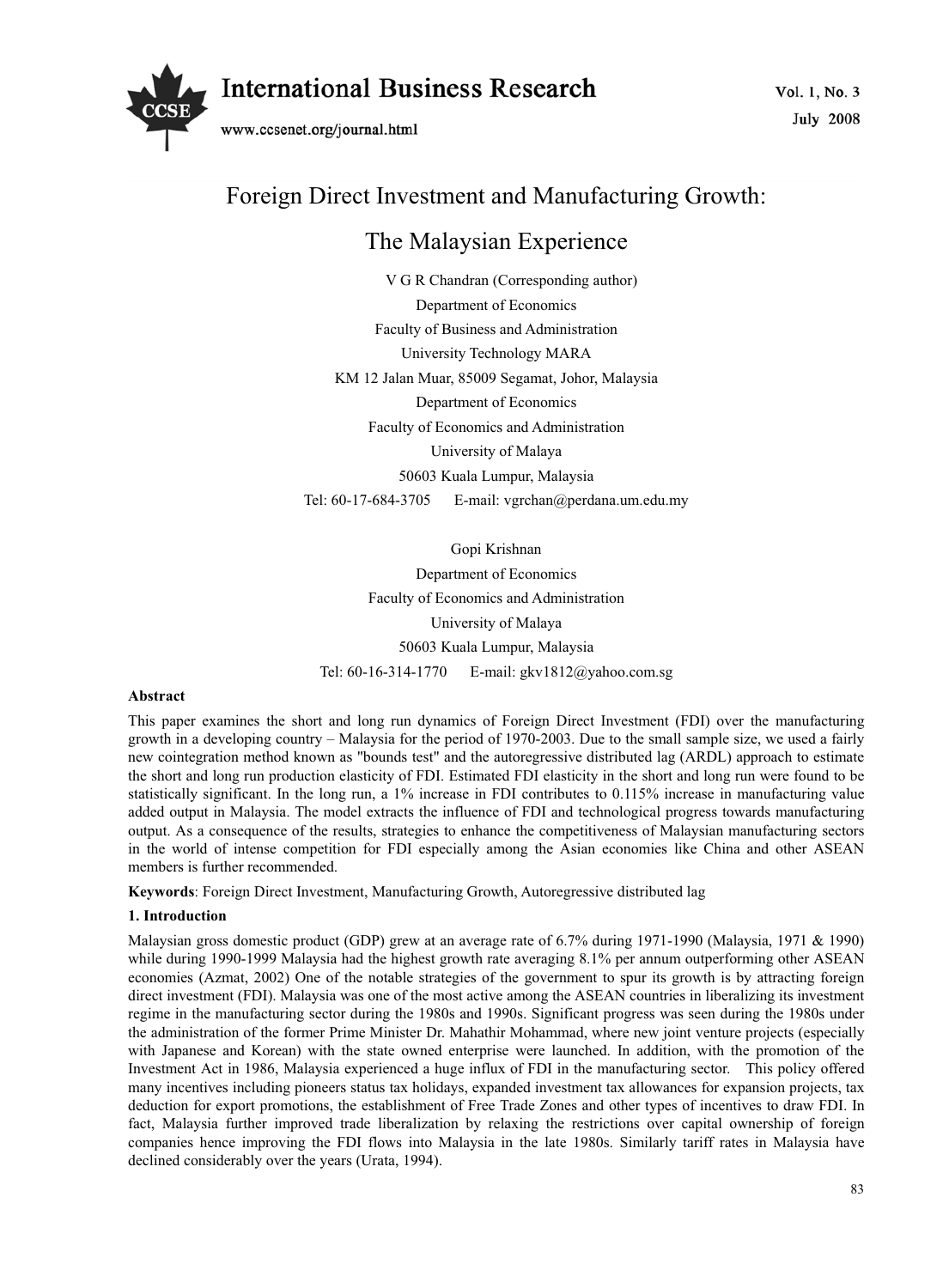



# Foreign Direct Investment and Manufacturing Growth:

## The Malaysian Experience

V G R Chandran (Corresponding author) Department of Economics Faculty of Business and Administration University Technology MARA KM 12 Jalan Muar, 85009 Segamat, Johor, Malaysia Department of Economics Faculty of Economics and Administration University of Malaya 50603 Kuala Lumpur, Malaysia Tel: 60-17-684-3705 E-mail: vgrchan@perdana.um.edu.my

Gopi Krishnan

Department of Economics Faculty of Economics and Administration University of Malaya 50603 Kuala Lumpur, Malaysia Tel: 60-16-314-1770 E-mail: gkv1812@yahoo.com.sg

## **Abstract**

This paper examines the short and long run dynamics of Foreign Direct Investment (FDI) over the manufacturing growth in a developing country – Malaysia for the period of 1970-2003. Due to the small sample size, we used a fairly new cointegration method known as "bounds test" and the autoregressive distributed lag (ARDL) approach to estimate the short and long run production elasticity of FDI. Estimated FDI elasticity in the short and long run were found to be statistically significant. In the long run, a 1% increase in FDI contributes to 0.115% increase in manufacturing value added output in Malaysia. The model extracts the influence of FDI and technological progress towards manufacturing output. As a consequence of the results, strategies to enhance the competitiveness of Malaysian manufacturing sectors in the world of intense competition for FDI especially among the Asian economies like China and other ASEAN members is further recommended.

**Keywords**: Foreign Direct Investment, Manufacturing Growth, Autoregressive distributed lag

## **1. Introduction**

Malaysian gross domestic product (GDP) grew at an average rate of 6.7% during 1971-1990 (Malaysia, 1971 & 1990) while during 1990-1999 Malaysia had the highest growth rate averaging 8.1% per annum outperforming other ASEAN economies (Azmat, 2002) One of the notable strategies of the government to spur its growth is by attracting foreign direct investment (FDI). Malaysia was one of the most active among the ASEAN countries in liberalizing its investment regime in the manufacturing sector during the 1980s and 1990s. Significant progress was seen during the 1980s under the administration of the former Prime Minister Dr. Mahathir Mohammad, where new joint venture projects (especially with Japanese and Korean) with the state owned enterprise were launched. In addition, with the promotion of the Investment Act in 1986, Malaysia experienced a huge influx of FDI in the manufacturing sector. This policy offered many incentives including pioneers status tax holidays, expanded investment tax allowances for expansion projects, tax deduction for export promotions, the establishment of Free Trade Zones and other types of incentives to draw FDI. In fact, Malaysia further improved trade liberalization by relaxing the restrictions over capital ownership of foreign companies hence improving the FDI flows into Malaysia in the late 1980s. Similarly tariff rates in Malaysia have declined considerably over the years (Urata, 1994).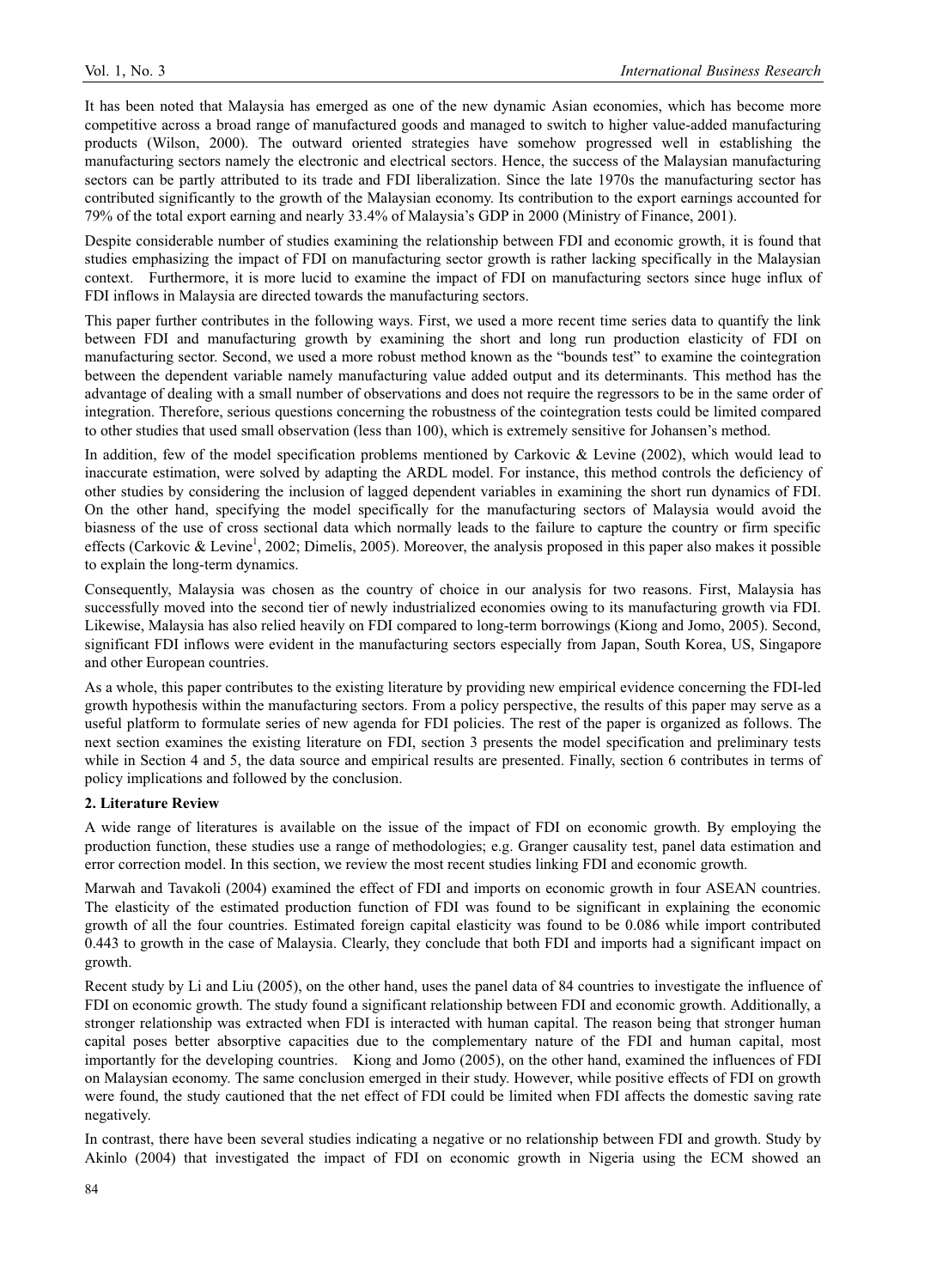It has been noted that Malaysia has emerged as one of the new dynamic Asian economies, which has become more competitive across a broad range of manufactured goods and managed to switch to higher value-added manufacturing products (Wilson, 2000). The outward oriented strategies have somehow progressed well in establishing the manufacturing sectors namely the electronic and electrical sectors. Hence, the success of the Malaysian manufacturing sectors can be partly attributed to its trade and FDI liberalization. Since the late 1970s the manufacturing sector has contributed significantly to the growth of the Malaysian economy. Its contribution to the export earnings accounted for 79% of the total export earning and nearly 33.4% of Malaysia's GDP in 2000 (Ministry of Finance, 2001).

Despite considerable number of studies examining the relationship between FDI and economic growth, it is found that studies emphasizing the impact of FDI on manufacturing sector growth is rather lacking specifically in the Malaysian context. Furthermore, it is more lucid to examine the impact of FDI on manufacturing sectors since huge influx of FDI inflows in Malaysia are directed towards the manufacturing sectors.

This paper further contributes in the following ways. First, we used a more recent time series data to quantify the link between FDI and manufacturing growth by examining the short and long run production elasticity of FDI on manufacturing sector. Second, we used a more robust method known as the "bounds test" to examine the cointegration between the dependent variable namely manufacturing value added output and its determinants. This method has the advantage of dealing with a small number of observations and does not require the regressors to be in the same order of integration. Therefore, serious questions concerning the robustness of the cointegration tests could be limited compared to other studies that used small observation (less than 100), which is extremely sensitive for Johansen's method.

In addition, few of the model specification problems mentioned by Carkovic & Levine (2002), which would lead to inaccurate estimation, were solved by adapting the ARDL model. For instance, this method controls the deficiency of other studies by considering the inclusion of lagged dependent variables in examining the short run dynamics of FDI. On the other hand, specifying the model specifically for the manufacturing sectors of Malaysia would avoid the biasness of the use of cross sectional data which normally leads to the failure to capture the country or firm specific effects (Carkovic & Levine<sup>1</sup>, 2002; Dimelis, 2005). Moreover, the analysis proposed in this paper also makes it possible to explain the long-term dynamics.

Consequently, Malaysia was chosen as the country of choice in our analysis for two reasons. First, Malaysia has successfully moved into the second tier of newly industrialized economies owing to its manufacturing growth via FDI. Likewise, Malaysia has also relied heavily on FDI compared to long-term borrowings (Kiong and Jomo, 2005). Second, significant FDI inflows were evident in the manufacturing sectors especially from Japan, South Korea, US, Singapore and other European countries.

As a whole, this paper contributes to the existing literature by providing new empirical evidence concerning the FDI-led growth hypothesis within the manufacturing sectors. From a policy perspective, the results of this paper may serve as a useful platform to formulate series of new agenda for FDI policies. The rest of the paper is organized as follows. The next section examines the existing literature on FDI, section 3 presents the model specification and preliminary tests while in Section 4 and 5, the data source and empirical results are presented. Finally, section 6 contributes in terms of policy implications and followed by the conclusion.

## **2. Literature Review**

A wide range of literatures is available on the issue of the impact of FDI on economic growth. By employing the production function, these studies use a range of methodologies; e.g. Granger causality test, panel data estimation and error correction model. In this section, we review the most recent studies linking FDI and economic growth.

Marwah and Tavakoli (2004) examined the effect of FDI and imports on economic growth in four ASEAN countries. The elasticity of the estimated production function of FDI was found to be significant in explaining the economic growth of all the four countries. Estimated foreign capital elasticity was found to be 0.086 while import contributed 0.443 to growth in the case of Malaysia. Clearly, they conclude that both FDI and imports had a significant impact on growth.

Recent study by Li and Liu (2005), on the other hand, uses the panel data of 84 countries to investigate the influence of FDI on economic growth. The study found a significant relationship between FDI and economic growth. Additionally, a stronger relationship was extracted when FDI is interacted with human capital. The reason being that stronger human capital poses better absorptive capacities due to the complementary nature of the FDI and human capital, most importantly for the developing countries. Kiong and Jomo (2005), on the other hand, examined the influences of FDI on Malaysian economy. The same conclusion emerged in their study. However, while positive effects of FDI on growth were found, the study cautioned that the net effect of FDI could be limited when FDI affects the domestic saving rate negatively.

In contrast, there have been several studies indicating a negative or no relationship between FDI and growth. Study by Akinlo (2004) that investigated the impact of FDI on economic growth in Nigeria using the ECM showed an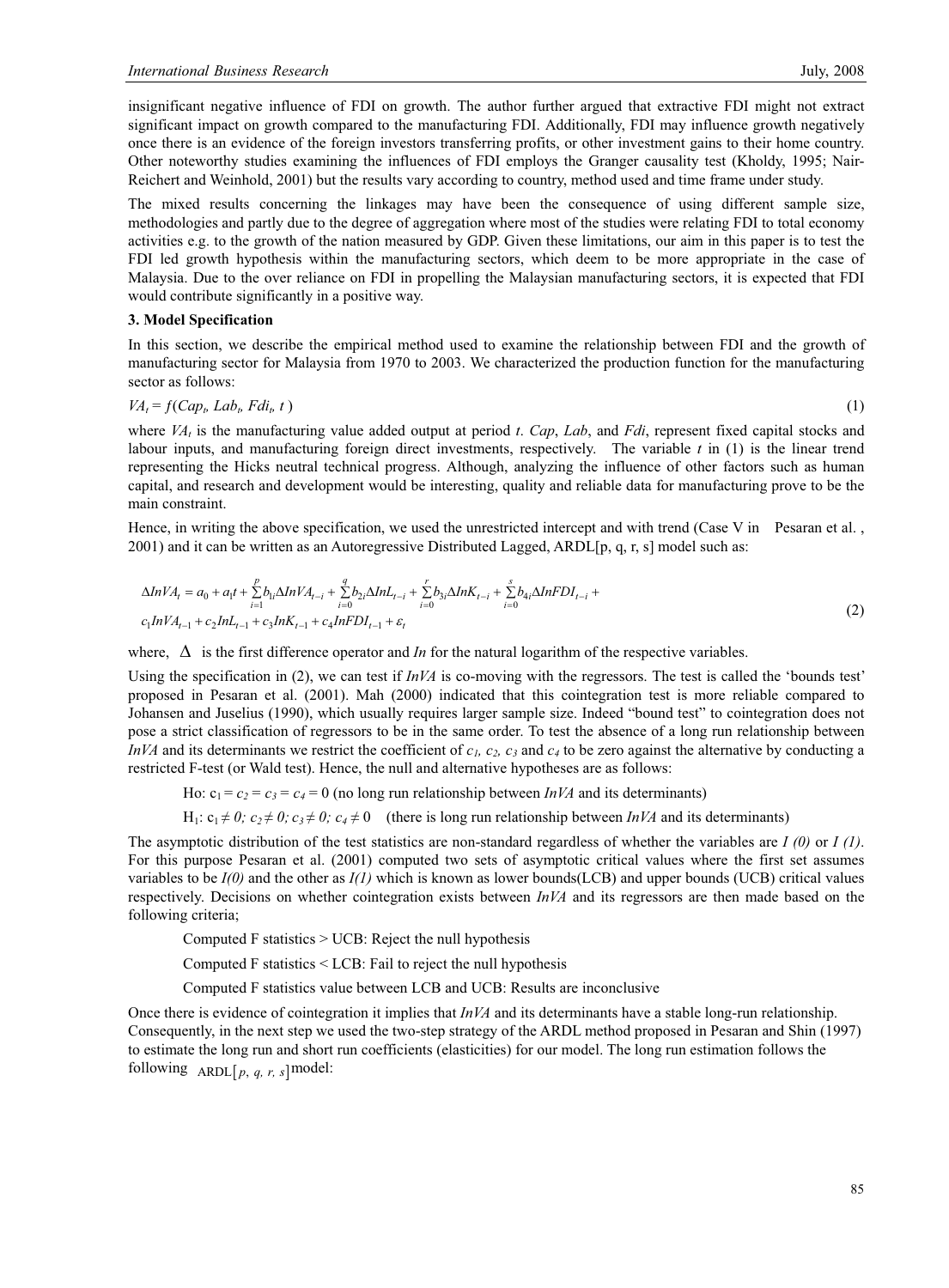insignificant negative influence of FDI on growth. The author further argued that extractive FDI might not extract significant impact on growth compared to the manufacturing FDI. Additionally, FDI may influence growth negatively once there is an evidence of the foreign investors transferring profits, or other investment gains to their home country. Other noteworthy studies examining the influences of FDI employs the Granger causality test (Kholdy, 1995; Nair-Reichert and Weinhold, 2001) but the results vary according to country, method used and time frame under study.

The mixed results concerning the linkages may have been the consequence of using different sample size, methodologies and partly due to the degree of aggregation where most of the studies were relating FDI to total economy activities e.g. to the growth of the nation measured by GDP. Given these limitations, our aim in this paper is to test the FDI led growth hypothesis within the manufacturing sectors, which deem to be more appropriate in the case of Malaysia. Due to the over reliance on FDI in propelling the Malaysian manufacturing sectors, it is expected that FDI would contribute significantly in a positive way.

#### **3. Model Specification**

In this section, we describe the empirical method used to examine the relationship between FDI and the growth of manufacturing sector for Malaysia from 1970 to 2003. We characterized the production function for the manufacturing sector as follows:

$$
VA_t = f(Cap_t, Lab_t, Fdi_t, t)
$$
\n<sup>(1)</sup>

where *VAt* is the manufacturing value added output at period *t*. *Cap*, *Lab*, and *Fdi*, represent fixed capital stocks and labour inputs, and manufacturing foreign direct investments, respectively. The variable *t* in (1) is the linear trend representing the Hicks neutral technical progress. Although, analyzing the influence of other factors such as human capital, and research and development would be interesting, quality and reliable data for manufacturing prove to be the main constraint.

Hence, in writing the above specification, we used the unrestricted intercept and with trend (Case V in Pesaran et al., 2001) and it can be written as an Autoregressive Distributed Lagged, ARDL[p, q, r, s] model such as:

$$
\Delta InVA_{t} = a_{0} + a_{1}t + \sum_{i=1}^{p} b_{1i} \Delta InVA_{t-i} + \sum_{i=0}^{q} b_{2i} \Delta InL_{t-i} + \sum_{i=0}^{r} b_{3i} \Delta InK_{t-i} + \sum_{i=0}^{s} b_{4i} \Delta InFDI_{t-i} + c_{1} InVA_{t-1} + c_{2} InL_{t-1} + c_{3} InFDI_{t-1} + \varepsilon_{t}
$$
\n
$$
(2)
$$

where,  $\Delta$  is the first difference operator and *In* for the natural logarithm of the respective variables.

Using the specification in (2), we can test if *InVA* is co-moving with the regressors. The test is called the 'bounds test' proposed in Pesaran et al. (2001). Mah (2000) indicated that this cointegration test is more reliable compared to Johansen and Juselius (1990), which usually requires larger sample size. Indeed "bound test" to cointegration does not pose a strict classification of regressors to be in the same order. To test the absence of a long run relationship between *InVA* and its determinants we restrict the coefficient of  $c<sub>1</sub>$ ,  $c<sub>2</sub>$ ,  $c<sub>3</sub>$  and  $c<sub>4</sub>$  to be zero against the alternative by conducting a restricted F-test (or Wald test). Hence, the null and alternative hypotheses are as follows:

Ho:  $c_1 = c_2 = c_3 = c_4 = 0$  (no long run relationship between *InVA* and its determinants)

H<sub>1</sub>:  $c_1 \neq 0$ ;  $c_2 \neq 0$ ;  $c_3 \neq 0$ ;  $c_4 \neq 0$  (there is long run relationship between *InVA* and its determinants)

The asymptotic distribution of the test statistics are non-standard regardless of whether the variables are *I (0)* or *I (1)*. For this purpose Pesaran et al. (2001) computed two sets of asymptotic critical values where the first set assumes variables to be *I(0)* and the other as *I(1)* which is known as lower bounds(LCB) and upper bounds (UCB) critical values respectively. Decisions on whether cointegration exists between *InVA* and its regressors are then made based on the following criteria;

Computed F statistics > UCB: Reject the null hypothesis

Computed F statistics < LCB: Fail to reject the null hypothesis

Computed F statistics value between LCB and UCB: Results are inconclusive

Once there is evidence of cointegration it implies that *InVA* and its determinants have a stable long-run relationship. Consequently, in the next step we used the two-step strategy of the ARDL method proposed in Pesaran and Shin (1997) to estimate the long run and short run coefficients (elasticities) for our model. The long run estimation follows the following  $ARDL[p, q, r, s]$  model: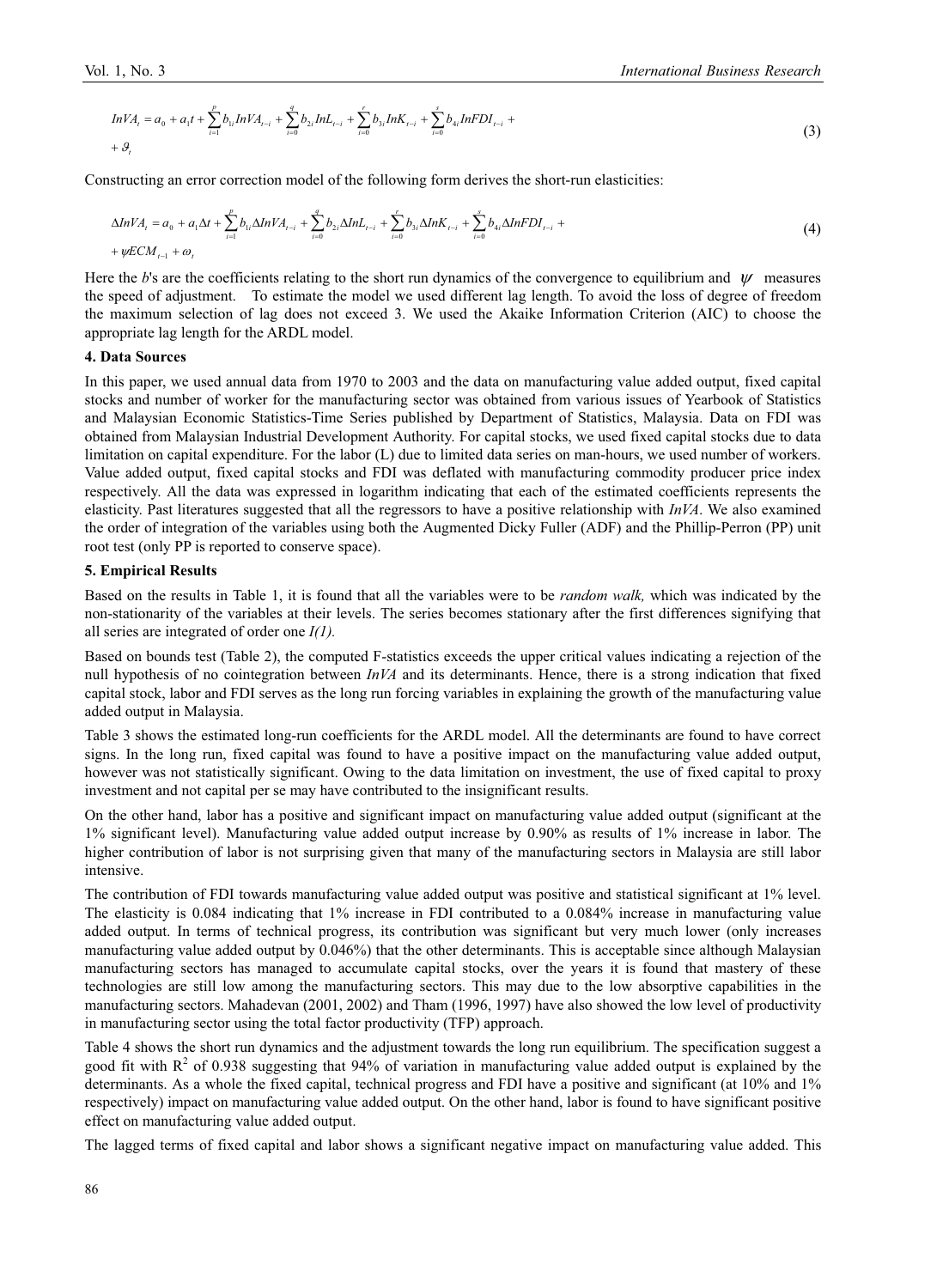$$
InVAt = a0 + a1t + \sum_{i=1}^{p} b_{1i} InVAt-i + \sum_{i=0}^{q} b_{2i} InLt-i + \sum_{i=0}^{r} b_{3i} InKLt-i + \sum_{i=0}^{s} b_{4i} InFDIt-i ++ \mathcal{G}t
$$
 (3)

Constructing an error correction model of the following form derives the short-run elasticities:

$$
\Delta InVA_{i} = a_{0} + a_{1}\Delta t + \sum_{i=1}^{p} b_{1i}\Delta InVA_{i-i} + \sum_{i=0}^{q} b_{2i}\Delta InL_{i-i} + \sum_{i=0}^{r} b_{3i}\Delta InK_{i-i} + \sum_{i=0}^{s} b_{4i}\Delta InFDI_{i-i} +
$$
  
+  $\psi ECM_{i-1} + \omega_{i}$  (4)

Here the *b*'s are the coefficients relating to the short run dynamics of the convergence to equilibrium and  $\psi$  measures the speed of adjustment. To estimate the model we used different lag length. To avoid the loss of degree of freedom the maximum selection of lag does not exceed 3. We used the Akaike Information Criterion (AIC) to choose the appropriate lag length for the ARDL model.

## **4. Data Sources**

In this paper, we used annual data from 1970 to 2003 and the data on manufacturing value added output, fixed capital stocks and number of worker for the manufacturing sector was obtained from various issues of Yearbook of Statistics and Malaysian Economic Statistics-Time Series published by Department of Statistics, Malaysia. Data on FDI was obtained from Malaysian Industrial Development Authority. For capital stocks, we used fixed capital stocks due to data limitation on capital expenditure. For the labor (L) due to limited data series on man-hours, we used number of workers. Value added output, fixed capital stocks and FDI was deflated with manufacturing commodity producer price index respectively. All the data was expressed in logarithm indicating that each of the estimated coefficients represents the elasticity. Past literatures suggested that all the regressors to have a positive relationship with *InVA*. We also examined the order of integration of the variables using both the Augmented Dicky Fuller (ADF) and the Phillip-Perron (PP) unit root test (only PP is reported to conserve space).

#### **5. Empirical Results**

Based on the results in Table 1, it is found that all the variables were to be *random walk,* which was indicated by the non-stationarity of the variables at their levels. The series becomes stationary after the first differences signifying that all series are integrated of order one *I(1).*

Based on bounds test (Table 2), the computed F-statistics exceeds the upper critical values indicating a rejection of the null hypothesis of no cointegration between *InVA* and its determinants. Hence, there is a strong indication that fixed capital stock, labor and FDI serves as the long run forcing variables in explaining the growth of the manufacturing value added output in Malaysia.

Table 3 shows the estimated long-run coefficients for the ARDL model. All the determinants are found to have correct signs. In the long run, fixed capital was found to have a positive impact on the manufacturing value added output, however was not statistically significant. Owing to the data limitation on investment, the use of fixed capital to proxy investment and not capital per se may have contributed to the insignificant results.

On the other hand, labor has a positive and significant impact on manufacturing value added output (significant at the 1% significant level). Manufacturing value added output increase by 0.90% as results of 1% increase in labor. The higher contribution of labor is not surprising given that many of the manufacturing sectors in Malaysia are still labor intensive.

The contribution of FDI towards manufacturing value added output was positive and statistical significant at 1% level. The elasticity is 0.084 indicating that 1% increase in FDI contributed to a 0.084% increase in manufacturing value added output. In terms of technical progress, its contribution was significant but very much lower (only increases manufacturing value added output by 0.046%) that the other determinants. This is acceptable since although Malaysian manufacturing sectors has managed to accumulate capital stocks, over the years it is found that mastery of these technologies are still low among the manufacturing sectors. This may due to the low absorptive capabilities in the manufacturing sectors. Mahadevan (2001, 2002) and Tham (1996, 1997) have also showed the low level of productivity in manufacturing sector using the total factor productivity (TFP) approach.

Table 4 shows the short run dynamics and the adjustment towards the long run equilibrium. The specification suggest a good fit with  $R^2$  of 0.938 suggesting that 94% of variation in manufacturing value added output is explained by the determinants. As a whole the fixed capital, technical progress and FDI have a positive and significant (at 10% and 1% respectively) impact on manufacturing value added output. On the other hand, labor is found to have significant positive effect on manufacturing value added output.

The lagged terms of fixed capital and labor shows a significant negative impact on manufacturing value added. This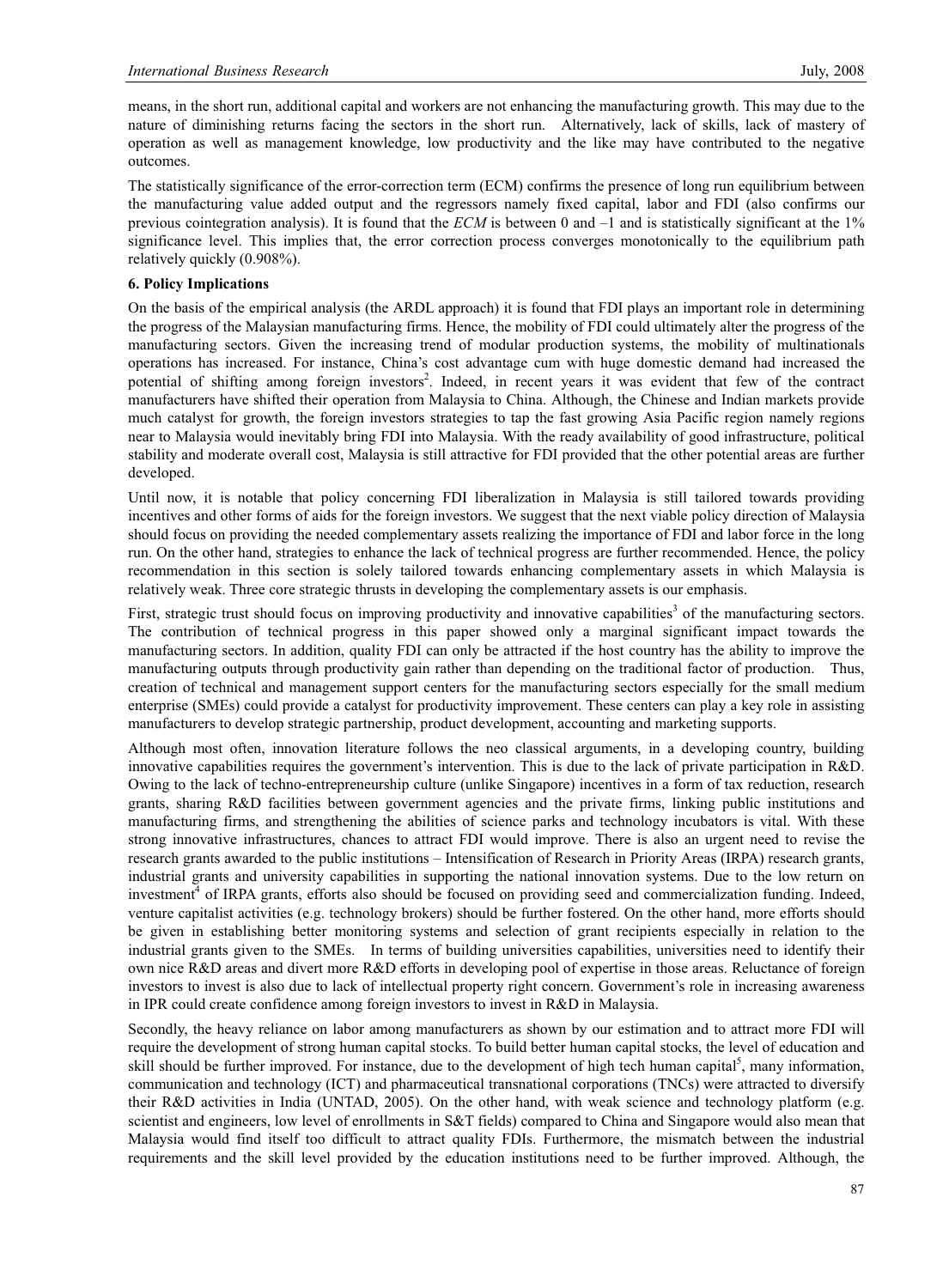means, in the short run, additional capital and workers are not enhancing the manufacturing growth. This may due to the nature of diminishing returns facing the sectors in the short run. Alternatively, lack of skills, lack of mastery of operation as well as management knowledge, low productivity and the like may have contributed to the negative outcomes.

The statistically significance of the error-correction term (ECM) confirms the presence of long run equilibrium between the manufacturing value added output and the regressors namely fixed capital, labor and FDI (also confirms our previous cointegration analysis). It is found that the *ECM* is between 0 and –1 and is statistically significant at the 1% significance level. This implies that, the error correction process converges monotonically to the equilibrium path relatively quickly (0.908%).

## **6. Policy Implications**

On the basis of the empirical analysis (the ARDL approach) it is found that FDI plays an important role in determining the progress of the Malaysian manufacturing firms. Hence, the mobility of FDI could ultimately alter the progress of the manufacturing sectors. Given the increasing trend of modular production systems, the mobility of multinationals operations has increased. For instance, China's cost advantage cum with huge domestic demand had increased the potential of shifting among foreign investors<sup>2</sup>. Indeed, in recent years it was evident that few of the contract manufacturers have shifted their operation from Malaysia to China. Although, the Chinese and Indian markets provide much catalyst for growth, the foreign investors strategies to tap the fast growing Asia Pacific region namely regions near to Malaysia would inevitably bring FDI into Malaysia. With the ready availability of good infrastructure, political stability and moderate overall cost, Malaysia is still attractive for FDI provided that the other potential areas are further developed.

Until now, it is notable that policy concerning FDI liberalization in Malaysia is still tailored towards providing incentives and other forms of aids for the foreign investors. We suggest that the next viable policy direction of Malaysia should focus on providing the needed complementary assets realizing the importance of FDI and labor force in the long run. On the other hand, strategies to enhance the lack of technical progress are further recommended. Hence, the policy recommendation in this section is solely tailored towards enhancing complementary assets in which Malaysia is relatively weak. Three core strategic thrusts in developing the complementary assets is our emphasis.

First, strategic trust should focus on improving productivity and innovative capabilities<sup>3</sup> of the manufacturing sectors. The contribution of technical progress in this paper showed only a marginal significant impact towards the manufacturing sectors. In addition, quality FDI can only be attracted if the host country has the ability to improve the manufacturing outputs through productivity gain rather than depending on the traditional factor of production. Thus, creation of technical and management support centers for the manufacturing sectors especially for the small medium enterprise (SMEs) could provide a catalyst for productivity improvement. These centers can play a key role in assisting manufacturers to develop strategic partnership, product development, accounting and marketing supports.

Although most often, innovation literature follows the neo classical arguments, in a developing country, building innovative capabilities requires the government's intervention. This is due to the lack of private participation in R&D. Owing to the lack of techno-entrepreneurship culture (unlike Singapore) incentives in a form of tax reduction, research grants, sharing R&D facilities between government agencies and the private firms, linking public institutions and manufacturing firms, and strengthening the abilities of science parks and technology incubators is vital. With these strong innovative infrastructures, chances to attract FDI would improve. There is also an urgent need to revise the research grants awarded to the public institutions – Intensification of Research in Priority Areas (IRPA) research grants, industrial grants and university capabilities in supporting the national innovation systems. Due to the low return on investment<sup>4</sup> of IRPA grants, efforts also should be focused on providing seed and commercialization funding. Indeed, venture capitalist activities (e.g. technology brokers) should be further fostered. On the other hand, more efforts should be given in establishing better monitoring systems and selection of grant recipients especially in relation to the industrial grants given to the SMEs. In terms of building universities capabilities, universities need to identify their own nice R&D areas and divert more R&D efforts in developing pool of expertise in those areas. Reluctance of foreign investors to invest is also due to lack of intellectual property right concern. Government's role in increasing awareness in IPR could create confidence among foreign investors to invest in R&D in Malaysia.

Secondly, the heavy reliance on labor among manufacturers as shown by our estimation and to attract more FDI will require the development of strong human capital stocks. To build better human capital stocks, the level of education and skill should be further improved. For instance, due to the development of high tech human capital<sup>5</sup>, many information, communication and technology (ICT) and pharmaceutical transnational corporations (TNCs) were attracted to diversify their R&D activities in India (UNTAD, 2005). On the other hand, with weak science and technology platform (e.g. scientist and engineers, low level of enrollments in S&T fields) compared to China and Singapore would also mean that Malaysia would find itself too difficult to attract quality FDIs. Furthermore, the mismatch between the industrial requirements and the skill level provided by the education institutions need to be further improved. Although, the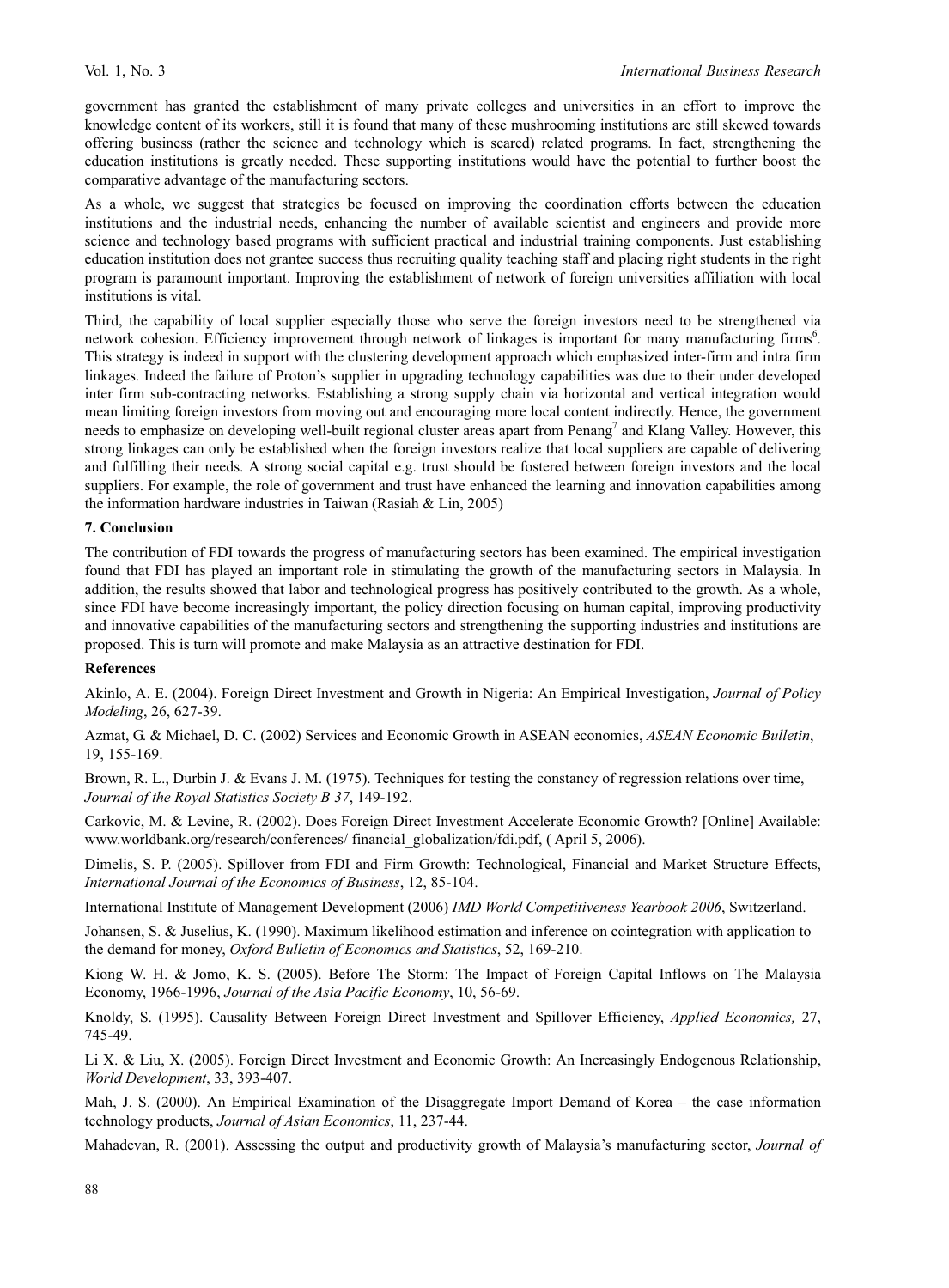government has granted the establishment of many private colleges and universities in an effort to improve the knowledge content of its workers, still it is found that many of these mushrooming institutions are still skewed towards offering business (rather the science and technology which is scared) related programs. In fact, strengthening the education institutions is greatly needed. These supporting institutions would have the potential to further boost the comparative advantage of the manufacturing sectors.

As a whole, we suggest that strategies be focused on improving the coordination efforts between the education institutions and the industrial needs, enhancing the number of available scientist and engineers and provide more science and technology based programs with sufficient practical and industrial training components. Just establishing education institution does not grantee success thus recruiting quality teaching staff and placing right students in the right program is paramount important. Improving the establishment of network of foreign universities affiliation with local institutions is vital.

Third, the capability of local supplier especially those who serve the foreign investors need to be strengthened via network cohesion. Efficiency improvement through network of linkages is important for many manufacturing firms<sup>6</sup>. This strategy is indeed in support with the clustering development approach which emphasized inter-firm and intra firm linkages. Indeed the failure of Proton's supplier in upgrading technology capabilities was due to their under developed inter firm sub-contracting networks. Establishing a strong supply chain via horizontal and vertical integration would mean limiting foreign investors from moving out and encouraging more local content indirectly. Hence, the government needs to emphasize on developing well-built regional cluster areas apart from Penang<sup>7</sup> and Klang Valley. However, this strong linkages can only be established when the foreign investors realize that local suppliers are capable of delivering and fulfilling their needs. A strong social capital e.g. trust should be fostered between foreign investors and the local suppliers. For example, the role of government and trust have enhanced the learning and innovation capabilities among the information hardware industries in Taiwan (Rasiah & Lin, 2005)

#### **7. Conclusion**

The contribution of FDI towards the progress of manufacturing sectors has been examined. The empirical investigation found that FDI has played an important role in stimulating the growth of the manufacturing sectors in Malaysia. In addition, the results showed that labor and technological progress has positively contributed to the growth. As a whole, since FDI have become increasingly important, the policy direction focusing on human capital, improving productivity and innovative capabilities of the manufacturing sectors and strengthening the supporting industries and institutions are proposed. This is turn will promote and make Malaysia as an attractive destination for FDI.

#### **References**

Akinlo, A. E. (2004). Foreign Direct Investment and Growth in Nigeria: An Empirical Investigation, *Journal of Policy Modeling*, 26, 627-39.

Azmat, G. & Michael, D. C. (2002) Services and Economic Growth in ASEAN economics, *ASEAN Economic Bulletin*, 19, 155-169.

Brown, R. L., Durbin J. & Evans J. M. (1975). Techniques for testing the constancy of regression relations over time, *Journal of the Royal Statistics Society B 37*, 149-192.

Carkovic, M. & Levine, R. (2002). Does Foreign Direct Investment Accelerate Economic Growth? [Online] Available: www.worldbank.org/research/conferences/ financial\_globalization/fdi.pdf, ( April 5, 2006).

Dimelis, S. P. (2005). Spillover from FDI and Firm Growth: Technological, Financial and Market Structure Effects, *International Journal of the Economics of Business*, 12, 85-104.

International Institute of Management Development (2006) *IMD World Competitiveness Yearbook 2006*, Switzerland.

Johansen, S. & Juselius, K. (1990). Maximum likelihood estimation and inference on cointegration with application to the demand for money, *Oxford Bulletin of Economics and Statistics*, 52, 169-210.

Kiong W. H. & Jomo, K. S. (2005). Before The Storm: The Impact of Foreign Capital Inflows on The Malaysia Economy, 1966-1996, *Journal of the Asia Pacific Economy*, 10, 56-69.

Knoldy, S. (1995). Causality Between Foreign Direct Investment and Spillover Efficiency, *Applied Economics,* 27, 745-49.

Li X. & Liu, X. (2005). Foreign Direct Investment and Economic Growth: An Increasingly Endogenous Relationship, *World Development*, 33, 393-407.

Mah, J. S. (2000). An Empirical Examination of the Disaggregate Import Demand of Korea – the case information technology products, *Journal of Asian Economics*, 11, 237-44.

Mahadevan, R. (2001). Assessing the output and productivity growth of Malaysia's manufacturing sector, *Journal of*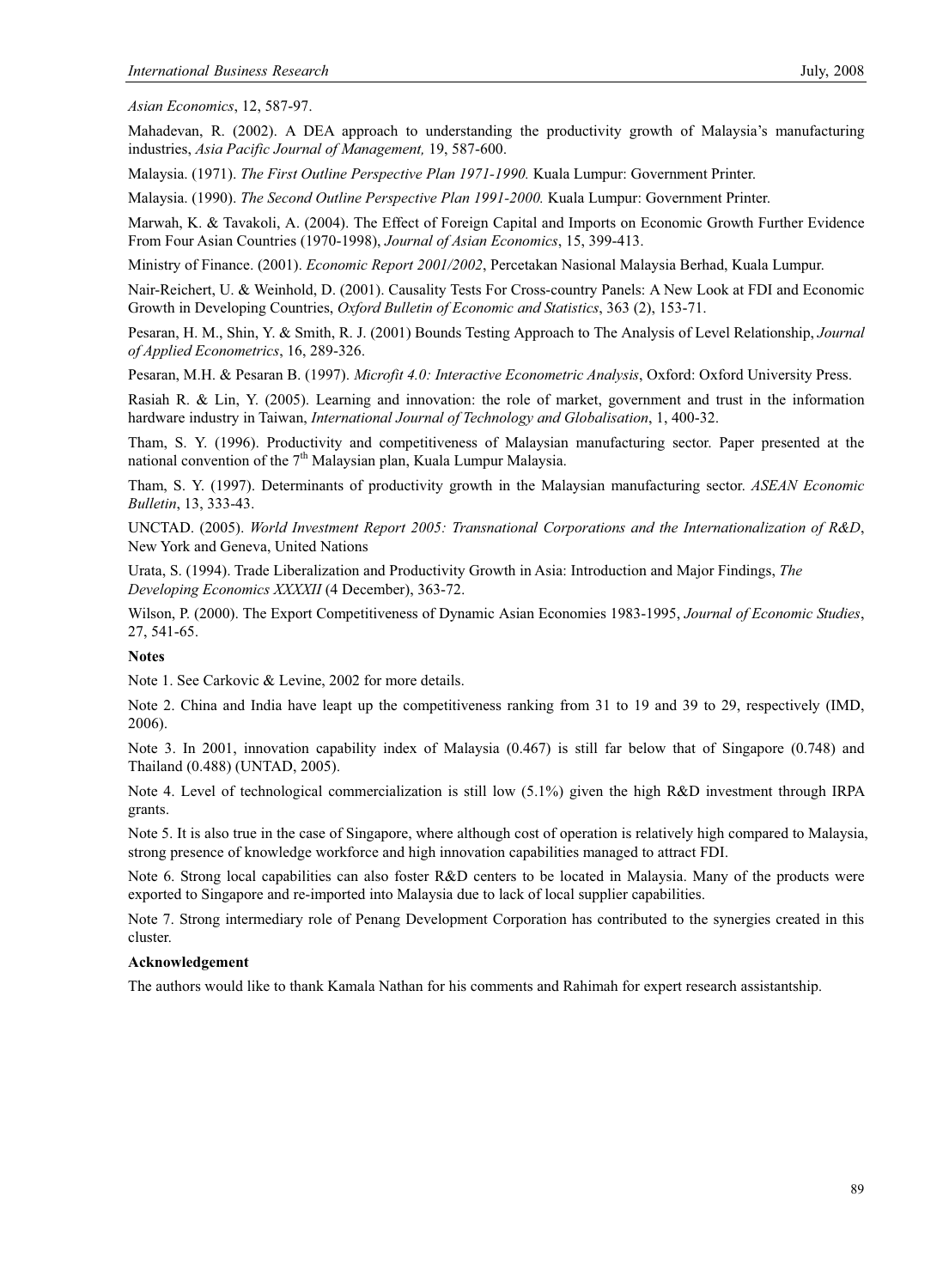*Asian Economics*, 12, 587-97.

Mahadevan, R. (2002). A DEA approach to understanding the productivity growth of Malaysia's manufacturing industries, *Asia Pacific Journal of Management,* 19, 587-600.

Malaysia. (1971). *The First Outline Perspective Plan 1971-1990.* Kuala Lumpur: Government Printer.

Malaysia. (1990). *The Second Outline Perspective Plan 1991-2000.* Kuala Lumpur: Government Printer.

Marwah, K. & Tavakoli, A. (2004). The Effect of Foreign Capital and Imports on Economic Growth Further Evidence From Four Asian Countries (1970-1998), *Journal of Asian Economics*, 15, 399-413.

Ministry of Finance. (2001). *Economic Report 2001/2002*, Percetakan Nasional Malaysia Berhad, Kuala Lumpur.

Nair-Reichert, U. & Weinhold, D. (2001). Causality Tests For Cross-country Panels: A New Look at FDI and Economic Growth in Developing Countries, *Oxford Bulletin of Economic and Statistics*, 363 (2), 153-71.

Pesaran, H. M., Shin, Y. & Smith, R. J. (2001) Bounds Testing Approach to The Analysis of Level Relationship, *Journal of Applied Econometrics*, 16, 289-326.

Pesaran, M.H. & Pesaran B. (1997). *Microfit 4.0: Interactive Econometric Analysis*, Oxford: Oxford University Press.

Rasiah R. & Lin, Y. (2005). Learning and innovation: the role of market, government and trust in the information hardware industry in Taiwan, *International Journal of Technology and Globalisation*, 1, 400-32.

Tham, S. Y. (1996). Productivity and competitiveness of Malaysian manufacturing sector. Paper presented at the national convention of the  $7<sup>th</sup>$  Malaysian plan, Kuala Lumpur Malaysia.

Tham, S. Y. (1997). Determinants of productivity growth in the Malaysian manufacturing sector. *ASEAN Economic Bulletin*, 13, 333-43.

UNCTAD. (2005). *World Investment Report 2005: Transnational Corporations and the Internationalization of R&D*, New York and Geneva, United Nations

Urata, S. (1994). Trade Liberalization and Productivity Growth in Asia: Introduction and Major Findings, *The Developing Economics XXXXII* (4 December), 363-72.

Wilson, P. (2000). The Export Competitiveness of Dynamic Asian Economies 1983-1995, *Journal of Economic Studies*, 27, 541-65.

#### **Notes**

Note 1. See Carkovic & Levine, 2002 for more details.

Note 2. China and India have leapt up the competitiveness ranking from 31 to 19 and 39 to 29, respectively (IMD, 2006).

Note 3. In 2001, innovation capability index of Malaysia (0.467) is still far below that of Singapore (0.748) and Thailand (0.488) (UNTAD, 2005).

Note 4. Level of technological commercialization is still low (5.1%) given the high R&D investment through IRPA grants.

Note 5. It is also true in the case of Singapore, where although cost of operation is relatively high compared to Malaysia, strong presence of knowledge workforce and high innovation capabilities managed to attract FDI.

Note 6. Strong local capabilities can also foster R&D centers to be located in Malaysia. Many of the products were exported to Singapore and re-imported into Malaysia due to lack of local supplier capabilities.

Note 7. Strong intermediary role of Penang Development Corporation has contributed to the synergies created in this cluster.

## **Acknowledgement**

The authors would like to thank Kamala Nathan for his comments and Rahimah for expert research assistantship.